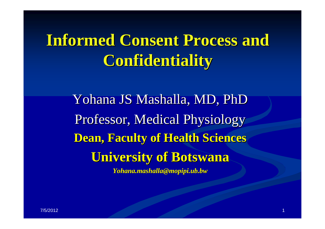# **Informed Consent Process and Informed Consent Process and Confidentiality Confidentiality**

Yohana JS Mashalla, MD, PhD Professor, Medical Physiology **Dean, Faculty of Health Sciences Dean, Faculty of Health Sciences University of Botswana University of Botswana**

*Yohana.mashalla@mopipi.ub.bw Yohana.mashalla@mopipi.ub.bw*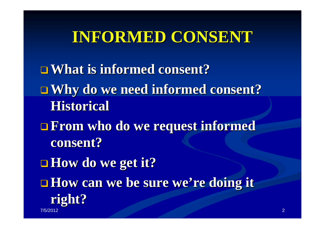## **INFORMED CONSENT INFORMED CONSENT**

**What is informed consent? What is informed consent? □ Why do we need informed consent? Historical Historical From who do we request informed From who do we request informed consent? consent? How do we get it? How do we get it? How can we be sure we're doing it right?** 7/5/2012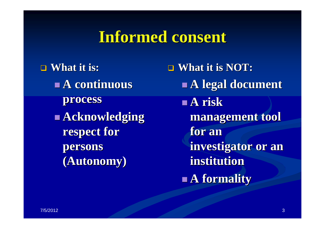#### **Informed consent Informed consent**

 **What it is: What it is: A continuous A continuous process process Acknowledging Acknowledging respect for respect for persons persons (Autonomy) (Autonomy)**

 $\blacksquare$  **What it is NOT: A legal document A legal document A risk management tool management tool for an investigator or an investigator or an institution institutionA formality A formality**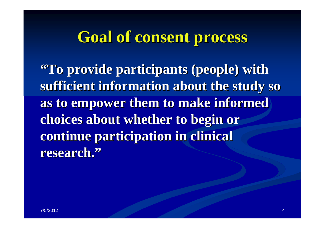## **Goal of consent process Goal of consent process**

**"To provide participants (people) with To provide participants (people) with**  sufficient information about the study so **as to empower them to make informed as to empower them to make informed choices about whether to begin or choices about whether to begin or continue participation in clinical continue participation in clinical research. research. "**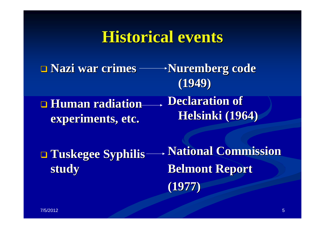#### **Historical events Historical events**

 **Nazi war crimes Nazi war crimes Nuremberg code Nuremberg code (1949)**

 $\Box$  **Human radiation experiments, etc. experiments, etc. Declaration of Helsinki (1964) Helsinki (1964)**

 **Tuskegee Syphilis Tuskegee Syphilis study**

**National Commission National Commission Belmont Report Belmont Report (1977)**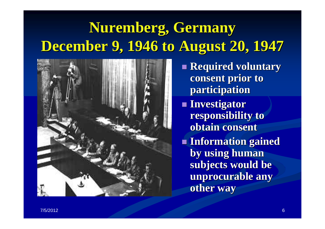## **Nuremberg, Germany Nuremberg, Germany December 9, 1946 to August 20, 1947 December 9, 1946 to August 20, 1947**



- **Required voluntary consent prior to consent prior to participation participation**
- **Investigator Investigator responsibility to responsibility to obtain consent obtain consent**
- **Information gained Information gained by using human** subjects would be **unprocurable any unprocurable any other way other way**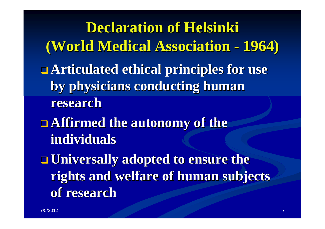**Declaration of Helsinki Declaration of Helsinki (World Medical Association (World Medical Association 1964) Articulated ethical principles for use by physicians conducting human by physicians conducting human research researchAffirmed the autonomy of the individuals individuals Universally adopted to ensure the Universally adopted to ensure the rights and welfare of human subjects rights and welfare of human subjects of research of research**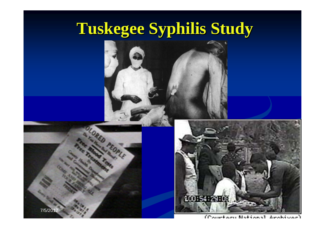# **Tuskegee Syphilis Study Tuskegee Syphilis Study**

7/5/2012

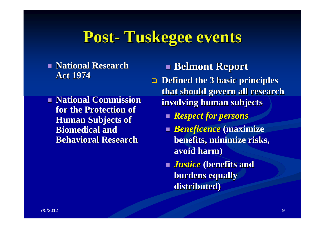## **Post- Tuskegee events Tuskegee events**

- **National Research National Research Act 1974 Act 1974**
- **National Commission for the Protection of for the Protection of Human Subjects of Human Subjects of Biomedical and Behavioral Research Behavioral Research**

**Belmont Report Belmont Report**

 $\Box$  Defined the 3 basic principles **that should govern all research that should govern all research involving human subjects involving human subjects**

- *Respect for persons Respect for persons*
- **Beneficence (maximize ) benefits, minimize risks, benefits, minimize risks, avoid harm) avoid harm)**
- *Justice Justice* **(benefits and (benefits and burdens equally burdens equally distributed) distributed)**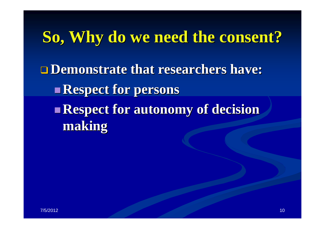## **So, Why do we need the consent? So, Why do we need the consent? Demonstrate that researchers have: Demonstrate that researchers have:**  $\mathbb{R}^2$  **Respect for persons Respect for persons Respect for autonomy of decision Respect for autonomy of decision making**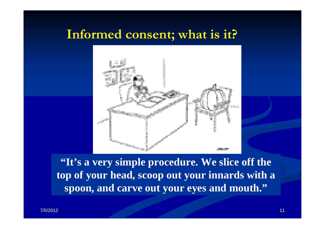#### **Informed consent; what is it?**



**"It's a very simple procedure. We slice off the top of your head, scoop out your innards with a spoon, and carve out your eyes and mouth."**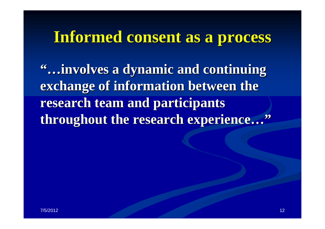### **Informed consent as a process Informed consent as a process**

**"…involves a dynamic and continuing involves a dynamic and continuing exchange of information between the research team and participants research team and participants throughout the research experience throughout the research experience…"**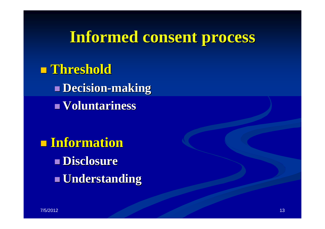## **Informed consent process Informed consent process**

 **Threshold Threshold Decision Decision -making Voluntariness Voluntariness**

 **Information Information Disclosure DisclosureUnderstanding Understanding**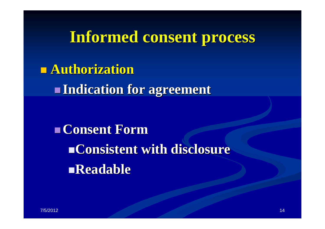#### **Informed consent process Informed consent process**

 **Authorization Authorization** $\mathbb{R}^2$ **Indication for agreement Indication for agreement**

 **Consent Form Consent FormConsistent with disclosure Consistent with disclosure Readable Readable**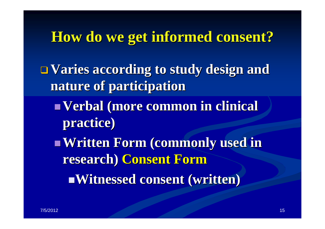#### **How do we get informed consent? How do we get informed consent?**

 **Varies according to study design and Varies according to study design and nature of participation nature of participation**

- $\mathbb{R}^2$  **Verbal (more common in clinical Verbal (more common in clinical practice) practice)**
- **Written Form (commonly used in research) Consent Form Witnessed consent (written) Witnessed consent (written)**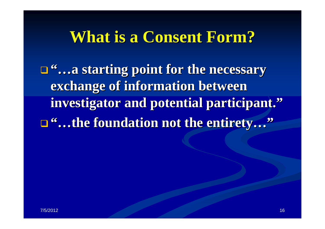### **What is a Consent Form? What is a Consent Form?**

**□<sup>66</sup>...a starting point for the necessary exchange of information between investigator and potential participant. investigator and potential participant. ""…the foundation not the entirety the foundation not the entirety…"**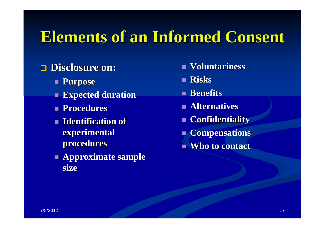## **Elements of an Informed Consent**

#### **Disclosure on: Disclosure on:**

- **Purpose Purpose**
- **Expected duration Expected duration**
- **Procedures Procedures**
- **Identification of Identification of experimental experimental procedures procedures**
- **Approximate sample Approximate sample size**
- **Voluntariness Voluntariness**
- **Risks**
- **Benefits Benefits**
- **Alternatives Alternatives**
- **Confidentiality Confidentiality**
- **Compensations Compensations**
- **Who to contact Who to contact**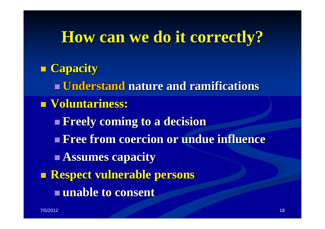### **How can we do it correctly? How can we do it correctly?**

## **Capacity Capacity Understand Understand nature and ramifications nature and ramifications Voluntariness: Voluntariness: Freely coming to a decision Freely coming to a decision Free from coercion or undue influence Free from coercion or undue influence Assumes capacity Assumes capacity Respect vulnerable persons Respect vulnerable persons unable to consent unable to consent**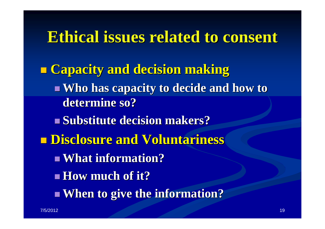**Ethical issues related to consent Ethical issues related to consent Capacity and decision making Capacity and decision making Nho has capacity to decide and how to determine so? determine so?Substitute decision makers? Disclosure and Voluntariness Disclosure and Voluntariness What information? What information? How much of it? How much of it?When to give the information? When to give the information?**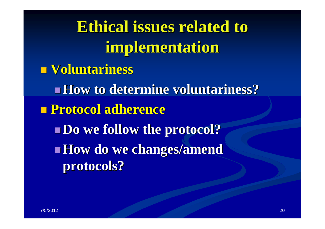**Ethical issues related to implementation implementation Voluntariness Voluntariness How to determine voluntariness? How to determine voluntariness? Protocol adherence Protocol adherence Do we follow the protocol? Do we follow the protocol? How do we changes/amend protocols? protocols?**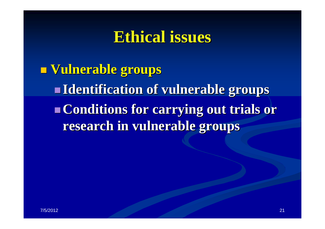### **Ethical issues Ethical issues**

 **Vulnerable groups Vulnerable groups**  $\mathbb{R}^2$  **Identification of vulnerable groups Identification of vulnerable groups Conditions for carrying out trials or Conditions for carrying out trials or research in vulnerable groups research in vulnerable groups**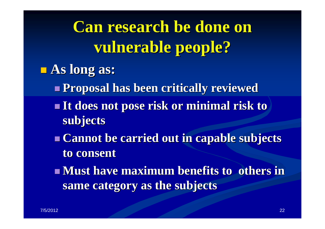**Can research be done on vulnerable people? vulnerable people?**

- **As long as: As long as:**
	- **Proposal has been critically reviewed Proposal has been critically reviewed**
	- **It does not pose risk or minimal risk to subjects subjects**
	- **Example 1 Cannot be carried out in capable subjects to consent to consent**
	- **Must have maximum benefits to others in same category as the subjects same category as the subjects**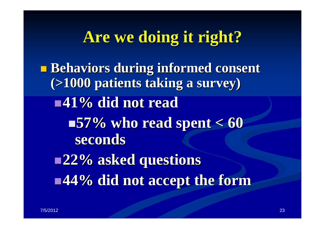## **Are we doing it right? Are we doing it right?**

p. **Behaviors during informed consent (>1000 patients taking a survey) (>1000 patients taking a survey) 41% did not read 41% did not read 57% who read spent < 60 57% who read spent < 60 seconds seconds 22% asked questions 22% asked questions 44% did not accept the form 44% did not accept the form**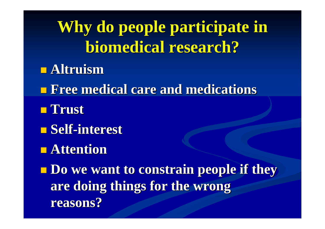Why do people participate in **biomedical research? biomedical research? Altruism Altruism Free medical care and medications Free medical care and medications Trust Self-interest interest Attention Attention**p.  $\blacksquare$  **Do we want to constrain people if they are doing things for the wrong are doing things for the wrong reasons? reasons?**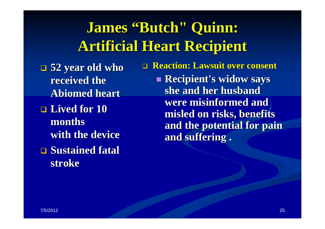## **James "Butch" Quinn: Butch" Quinn: Artificial Heart Recipient Artificial Heart Recipient**

 **52 year old who 52 year old who received the received the Abiomed heart Abiomed heart**

- **Lived for 10 monthswith the device with the device**
- **<u>Examed fatal</u> stroke**

**Reaction: Lawsuit over consent Reaction: Lawsuit over consent** 

**Recipient's widow says** she and her husband **were misinformed and were misinformed and misled on risks, benefits misled on risks, benefits**  and the potential for pain **and suffering . and suffering .**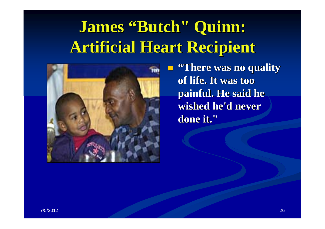# **James "Butch" Quinn: Butch" Quinn: Artificial Heart Recipient Artificial Heart Recipient**

p.



 **"There was no quality There was no quality of life. It was too of life. It was too painful. He said he** wished he'd never done it."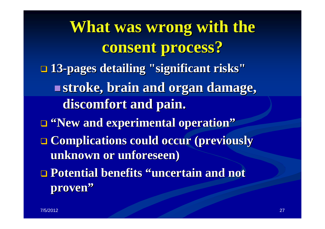**What was wrong with the consent process? consent process? 13-pages detailing "significant risks" stroke, brain and organ damage,** discomfort and pain.  $\blacksquare$  **"New and experimental operation" Complications could occur (previously Complications could occur (previously unknown or unforeseen) unknown or unforeseen) <u>** $\Box$ **</u> Potential benefits "uncertain and not proven "**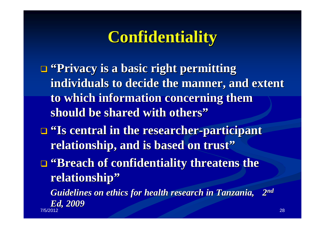## **Confidentiality Confidentiality**

- $\blacksquare$  "Privacy is a basic right permitting individuals to decide the manner, and extent to which information concerning them **should be shared with others"**
- $\blacksquare$  **"Is central in the researcher-participant relationship, and is based on trust"**
- $\blacksquare$  **"Breach of confidentiality threatens the relationship relationship "**

*Guidelines on ethics for health research in Tanzania, Guidelines on ethics for health research in Tanzania, 2n<sup>d</sup> Ed, 2009 Ed, 2009* 7/5/2012 28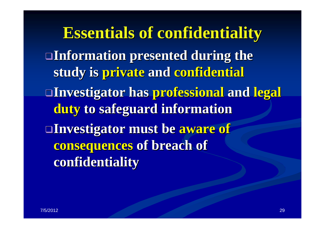**Essentials of confidentiality Essentials of confidentiality Information presented during the Information presented during the study is private and confidential Investigator has Investigator has professional professional and legal duty to safeguard information to safeguard information Investigator must be aware of consequences consequences of breach of of breach of confidentiality confidentiality**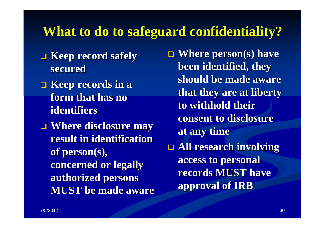#### **What to do to safeguard confidentiality? What to do to safeguard confidentiality?**

- **keep record safely secured secured**
- $\blacksquare$  Keep records in a **form that has no form that has no identifiers identifiers**
- $\blacksquare$  Where disclosure may **result in identification** of person(s), **concerned or legally concerned or legally authorized persons authorized persons MUST be made aware MUST be made aware**

 $\Box$  **Where person(s) have been identified, they been identified, they should be made aware should be made aware that they are at liberty that they are at liberty to withhold their to withhold their consent to disclosure consent to disclosure at any time at any time All research involving All research involving** 

**access to personal access to personal records MUST have records MUST have approval of IRB approval of IRB**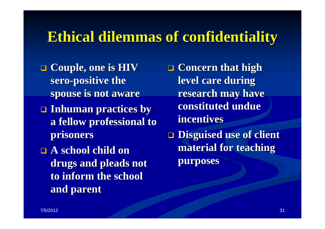#### **Ethical dilemmas of confidentiality Ethical dilemmas of confidentiality**

- **Q** Couple, one is HIV **sero -positive the positive the spouse is not aware spouse is not aware**
- **Inhuman practices by Inhuman practices by a fellow professional to a fellow professional to prisoners prisoners**
- **A school child on A school child on**  drugs and pleads not to inform the school **and parent and parent**
- **Q** Concern that high **level care during level care during research may have constituted undue constituted undue incentives incentives**
- **Disguised use of client Disguised use of client material for teaching material for teaching purposes purposes**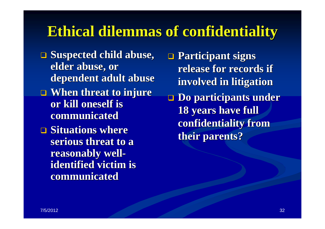#### **Ethical dilemmas of confidentiality**

- $\Box$  **Suspected child abuse, elder abuse, or** dependent adult abuse
- $\blacksquare$  When threat to injure **or kill oneself is or kill oneself is communicated**
- $\blacksquare$  **Situations where** serious threat to a **reasonably well reasonably well identified victim is identified victim is communicated communicated**

 **Participant signs Participant signs**  release for records if **involved in litigation involved in litigation Do participants under Do participants under 18 years have full 18 years have full confidentiality from confidentiality from their parents? their parents?**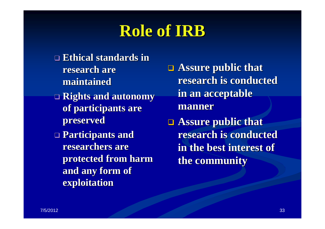## **Role of IRB Role of IRB**

- **Ethical standards in Ethical standards in research are maintained maintained**
- **Rights and autonomy Rights and autonomy of participants are of participants are preserved preserved**
- **Participants and Participants and researchers are protected from harm protected from harm**  and any form of **exploitation exploitation**

**Assure public that research is conducted research is conducted in an acceptable in an acceptable manner** 

**Assure public that research is conducted research is conducted in the best interest of in the best interest of the community the community**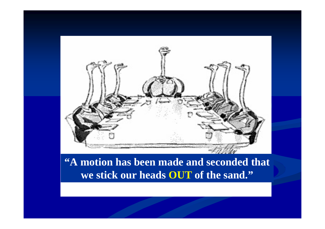

#### **"A motion has been made and seconded that we stick our heads OUT of the sand."**